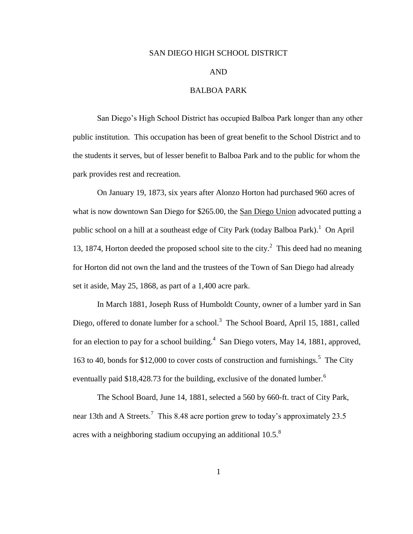## SAN DIEGO HIGH SCHOOL DISTRICT

## AND

## BALBOA PARK

San Diego's High School District has occupied Balboa Park longer than any other public institution. This occupation has been of great benefit to the School District and to the students it serves, but of lesser benefit to Balboa Park and to the public for whom the park provides rest and recreation.

On January 19, 1873, six years after Alonzo Horton had purchased 960 acres of what is now downtown San Diego for \$265.00, the San Diego Union advocated putting a public school on a hill at a southeast edge of City Park (today Balboa Park).<sup>1</sup> On April 13, 1874, Horton deeded the proposed school site to the city. $^2$  This deed had no meaning for Horton did not own the land and the trustees of the Town of San Diego had already set it aside, May 25, 1868, as part of a 1,400 acre park.

In March 1881, Joseph Russ of Humboldt County, owner of a lumber yard in San Diego, offered to donate lumber for a school.<sup>3</sup> The School Board, April 15, 1881, called for an election to pay for a school building.<sup>4</sup> San Diego voters, May 14, 1881, approved, 163 to 40, bonds for \$12,000 to cover costs of construction and furnishings.<sup>5</sup> The City eventually paid \$18,428.73 for the building, exclusive of the donated lumber.<sup>6</sup>

The School Board, June 14, 1881, selected a 560 by 660-ft. tract of City Park, near 13th and A Streets.<sup>7</sup> This 8.48 acre portion grew to today's approximately 23.5 acres with a neighboring stadium occupying an additional  $10.5$ .<sup>8</sup>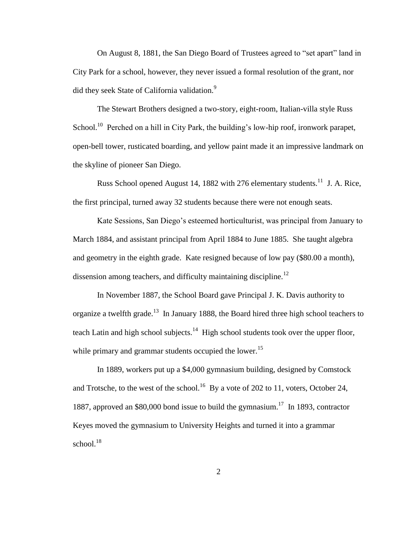On August 8, 1881, the San Diego Board of Trustees agreed to "set apart" land in City Park for a school, however, they never issued a formal resolution of the grant, nor did they seek State of California validation.<sup>9</sup>

The Stewart Brothers designed a two-story, eight-room, Italian-villa style Russ School.<sup>10</sup> Perched on a hill in City Park, the building's low-hip roof, ironwork parapet, open-bell tower, rusticated boarding, and yellow paint made it an impressive landmark on the skyline of pioneer San Diego.

Russ School opened August 14, 1882 with 276 elementary students. $^{11}$  J. A. Rice, the first principal, turned away 32 students because there were not enough seats.

Kate Sessions, San Diego's esteemed horticulturist, was principal from January to March 1884, and assistant principal from April 1884 to June 1885. She taught algebra and geometry in the eighth grade. Kate resigned because of low pay (\$80.00 a month), dissension among teachers, and difficulty maintaining discipline.<sup>12</sup>

In November 1887, the School Board gave Principal J. K. Davis authority to organize a twelfth grade.<sup>13</sup> In January 1888, the Board hired three high school teachers to teach Latin and high school subjects.<sup>14</sup> High school students took over the upper floor, while primary and grammar students occupied the lower.<sup>15</sup>

In 1889, workers put up a \$4,000 gymnasium building, designed by Comstock and Trotsche, to the west of the school.<sup>16</sup> By a vote of 202 to 11, voters, October 24, 1887, approved an \$80,000 bond issue to build the gymnasium.<sup>17</sup> In 1893, contractor Keyes moved the gymnasium to University Heights and turned it into a grammar school.<sup>18</sup>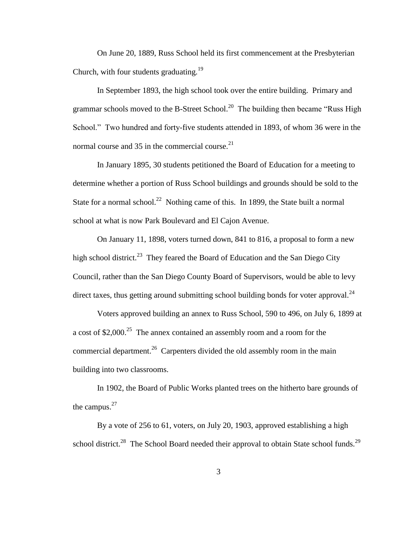On June 20, 1889, Russ School held its first commencement at the Presbyterian Church, with four students graduating.<sup>19</sup>

In September 1893, the high school took over the entire building. Primary and grammar schools moved to the B-Street School.<sup>20</sup> The building then became "Russ High School." Two hundred and forty-five students attended in 1893, of whom 36 were in the normal course and 35 in the commercial course. $^{21}$ 

In January 1895, 30 students petitioned the Board of Education for a meeting to determine whether a portion of Russ School buildings and grounds should be sold to the State for a normal school.<sup>22</sup> Nothing came of this. In 1899, the State built a normal school at what is now Park Boulevard and El Cajon Avenue.

On January 11, 1898, voters turned down, 841 to 816, a proposal to form a new high school district.<sup>23</sup> They feared the Board of Education and the San Diego City Council, rather than the San Diego County Board of Supervisors, would be able to levy direct taxes, thus getting around submitting school building bonds for voter approval.<sup>24</sup>

Voters approved building an annex to Russ School, 590 to 496, on July 6, 1899 at a cost of \$2,000.<sup>25</sup> The annex contained an assembly room and a room for the commercial department.<sup>26</sup> Carpenters divided the old assembly room in the main building into two classrooms.

In 1902, the Board of Public Works planted trees on the hitherto bare grounds of the campus.<sup>27</sup>

By a vote of 256 to 61, voters, on July 20, 1903, approved establishing a high school district.<sup>28</sup> The School Board needed their approval to obtain State school funds.<sup>29</sup>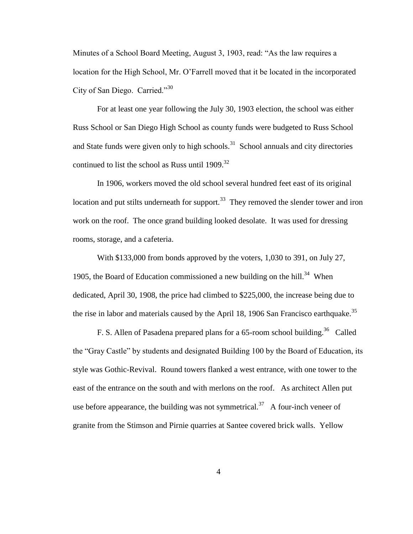Minutes of a School Board Meeting, August 3, 1903, read: "As the law requires a location for the High School, Mr. O'Farrell moved that it be located in the incorporated City of San Diego. Carried."<sup>30</sup>

For at least one year following the July 30, 1903 election, the school was either Russ School or San Diego High School as county funds were budgeted to Russ School and State funds were given only to high schools.<sup>31</sup> School annuals and city directories continued to list the school as Russ until 1909.<sup>32</sup>

In 1906, workers moved the old school several hundred feet east of its original location and put stilts underneath for support.<sup>33</sup> They removed the slender tower and iron work on the roof. The once grand building looked desolate. It was used for dressing rooms, storage, and a cafeteria.

With \$133,000 from bonds approved by the voters, 1,030 to 391, on July 27, 1905, the Board of Education commissioned a new building on the hill.<sup>34</sup> When dedicated, April 30, 1908, the price had climbed to \$225,000, the increase being due to the rise in labor and materials caused by the April 18, 1906 San Francisco earthquake.<sup>35</sup>

F. S. Allen of Pasadena prepared plans for a 65-room school building.<sup>36</sup> Called the "Gray Castle" by students and designated Building 100 by the Board of Education, its style was Gothic-Revival. Round towers flanked a west entrance, with one tower to the east of the entrance on the south and with merlons on the roof. As architect Allen put use before appearance, the building was not symmetrical.<sup>37</sup> A four-inch veneer of granite from the Stimson and Pirnie quarries at Santee covered brick walls. Yellow

4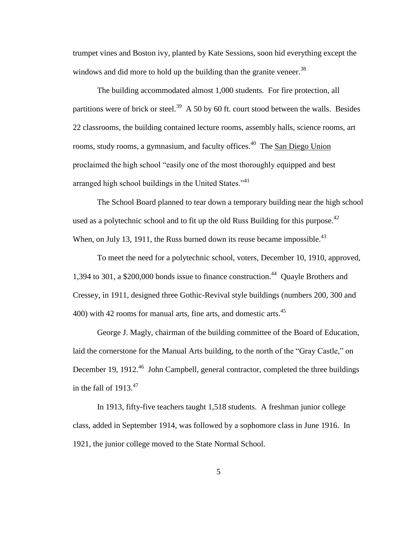trumpet vines and Boston ivy, planted by Kate Sessions, soon hid everything except the windows and did more to hold up the building than the granite veneer.<sup>38</sup>

The building accommodated almost 1,000 students. For fire protection, all partitions were of brick or steel.<sup>39</sup> A 50 by 60 ft. court stood between the walls. Besides 22 classrooms, the building contained lecture rooms, assembly halls, science rooms, art rooms, study rooms, a gymnasium, and faculty offices.<sup>40</sup> The <u>San Diego Union</u> proclaimed the high school "easily one of the most thoroughly equipped and best arranged high school buildings in the United States."<sup>41</sup>

The School Board planned to tear down a temporary building near the high school used as a polytechnic school and to fit up the old Russ Building for this purpose. $^{42}$ When, on July 13, 1911, the Russ burned down its reuse became impossible.<sup>43</sup>

To meet the need for a polytechnic school, voters, December 10, 1910, approved, 1,394 to 301, a \$200,000 bonds issue to finance construction.<sup>44</sup> Quayle Brothers and Cressey, in 1911, designed three Gothic-Revival style buildings (numbers 200, 300 and 400) with 42 rooms for manual arts, fine arts, and domestic arts.<sup>45</sup>

George J. Magly, chairman of the building committee of the Board of Education, laid the cornerstone for the Manual Arts building, to the north of the "Gray Castle," on December 19, 1912.<sup>46</sup> John Campbell, general contractor, completed the three buildings in the fall of  $1913<sup>47</sup>$ 

In 1913, fifty-five teachers taught 1,518 students. A freshman junior college class, added in September 1914, was followed by a sophomore class in June 1916. In 1921, the junior college moved to the State Normal School.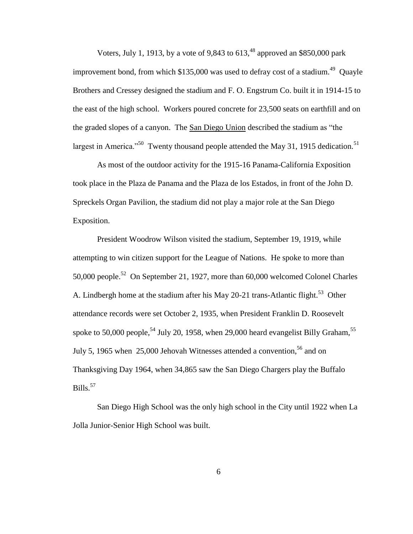Voters, July 1, 1913, by a vote of 9,843 to  $613<sup>48</sup>$  approved an \$850,000 park improvement bond, from which  $$135,000$  was used to defray cost of a stadium.<sup>49</sup> Quayle Brothers and Cressey designed the stadium and F. O. Engstrum Co. built it in 1914-15 to the east of the high school. Workers poured concrete for 23,500 seats on earthfill and on the graded slopes of a canyon. The San Diego Union described the stadium as "the largest in America."<sup>50</sup> Twenty thousand people attended the May 31, 1915 dedication.<sup>51</sup>

As most of the outdoor activity for the 1915-16 Panama-California Exposition took place in the Plaza de Panama and the Plaza de los Estados, in front of the John D. Spreckels Organ Pavilion, the stadium did not play a major role at the San Diego Exposition.

President Woodrow Wilson visited the stadium, September 19, 1919, while attempting to win citizen support for the League of Nations. He spoke to more than 50,000 people.<sup>52</sup> On September 21, 1927, more than 60,000 welcomed Colonel Charles A. Lindbergh home at the stadium after his May 20-21 trans-Atlantic flight.<sup>53</sup> Other attendance records were set October 2, 1935, when President Franklin D. Roosevelt spoke to 50,000 people,<sup>54</sup> July 20, 1958, when 29,000 heard evangelist Billy Graham,<sup>55</sup> July 5, 1965 when 25,000 Jehovah Witnesses attended a convention,  $56$  and on Thanksgiving Day 1964, when 34,865 saw the San Diego Chargers play the Buffalo  $Bills.<sup>57</sup>$ 

San Diego High School was the only high school in the City until 1922 when La Jolla Junior-Senior High School was built.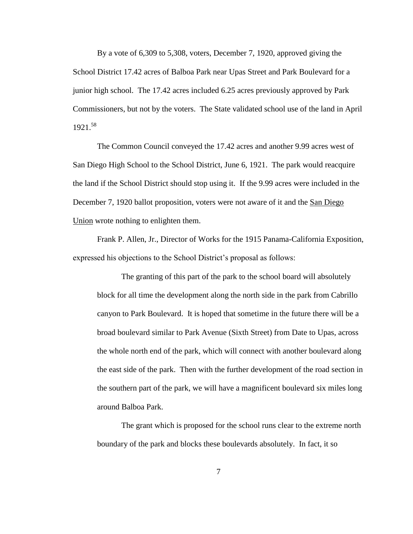By a vote of 6,309 to 5,308, voters, December 7, 1920, approved giving the School District 17.42 acres of Balboa Park near Upas Street and Park Boulevard for a junior high school. The 17.42 acres included 6.25 acres previously approved by Park Commissioners, but not by the voters. The State validated school use of the land in April 1921.<sup>58</sup>

The Common Council conveyed the 17.42 acres and another 9.99 acres west of San Diego High School to the School District, June 6, 1921. The park would reacquire the land if the School District should stop using it. If the 9.99 acres were included in the December 7, 1920 ballot proposition, voters were not aware of it and the San Diego Union wrote nothing to enlighten them.

Frank P. Allen, Jr., Director of Works for the 1915 Panama-California Exposition, expressed his objections to the School District's proposal as follows:

The granting of this part of the park to the school board will absolutely block for all time the development along the north side in the park from Cabrillo canyon to Park Boulevard. It is hoped that sometime in the future there will be a broad boulevard similar to Park Avenue (Sixth Street) from Date to Upas, across the whole north end of the park, which will connect with another boulevard along the east side of the park. Then with the further development of the road section in the southern part of the park, we will have a magnificent boulevard six miles long around Balboa Park.

The grant which is proposed for the school runs clear to the extreme north boundary of the park and blocks these boulevards absolutely. In fact, it so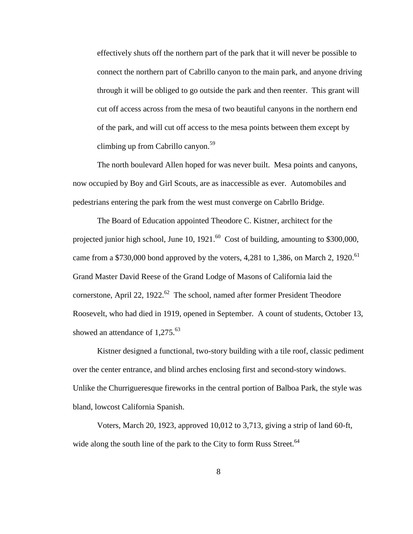effectively shuts off the northern part of the park that it will never be possible to connect the northern part of Cabrillo canyon to the main park, and anyone driving through it will be obliged to go outside the park and then reenter. This grant will cut off access across from the mesa of two beautiful canyons in the northern end of the park, and will cut off access to the mesa points between them except by climbing up from Cabrillo canyon.<sup>59</sup>

The north boulevard Allen hoped for was never built. Mesa points and canyons, now occupied by Boy and Girl Scouts, are as inaccessible as ever. Automobiles and pedestrians entering the park from the west must converge on Cabrllo Bridge.

The Board of Education appointed Theodore C. Kistner, architect for the projected junior high school, June 10, 1921. $^{60}$  Cost of building, amounting to \$300,000, came from a \$730,000 bond approved by the voters, 4,281 to 1,386, on March 2, 1920.<sup>61</sup> Grand Master David Reese of the Grand Lodge of Masons of California laid the cornerstone, April 22, 1922. $62$  The school, named after former President Theodore Roosevelt, who had died in 1919, opened in September. A count of students, October 13, showed an attendance of  $1,275$ .<sup>63</sup>

Kistner designed a functional, two-story building with a tile roof, classic pediment over the center entrance, and blind arches enclosing first and second-story windows. Unlike the Churrigueresque fireworks in the central portion of Balboa Park, the style was bland, lowcost California Spanish.

Voters, March 20, 1923, approved 10,012 to 3,713, giving a strip of land 60-ft, wide along the south line of the park to the City to form Russ Street.<sup>64</sup>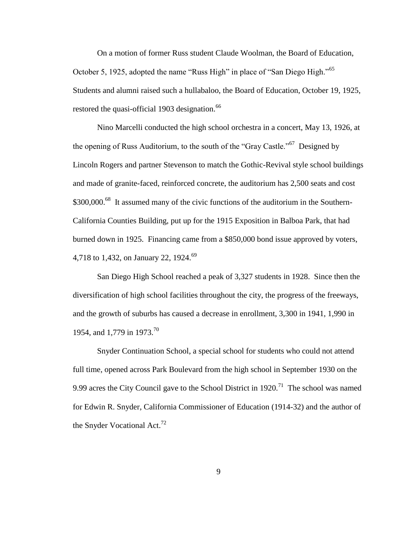On a motion of former Russ student Claude Woolman, the Board of Education, October 5, 1925, adopted the name "Russ High" in place of "San Diego High."<sup>65</sup> Students and alumni raised such a hullabaloo, the Board of Education, October 19, 1925, restored the quasi-official 1903 designation.<sup>66</sup>

Nino Marcelli conducted the high school orchestra in a concert, May 13, 1926, at the opening of Russ Auditorium, to the south of the "Gray Castle."<sup>67</sup> Designed by Lincoln Rogers and partner Stevenson to match the Gothic-Revival style school buildings and made of granite-faced, reinforced concrete, the auditorium has 2,500 seats and cost \$300,000.<sup>68</sup> It assumed many of the civic functions of the auditorium in the Southern-California Counties Building, put up for the 1915 Exposition in Balboa Park, that had burned down in 1925. Financing came from a \$850,000 bond issue approved by voters, 4,718 to 1,432, on January 22, 1924.<sup>69</sup>

San Diego High School reached a peak of 3,327 students in 1928. Since then the diversification of high school facilities throughout the city, the progress of the freeways, and the growth of suburbs has caused a decrease in enrollment, 3,300 in 1941, 1,990 in 1954, and 1,779 in 1973.<sup>70</sup>

Snyder Continuation School, a special school for students who could not attend full time, opened across Park Boulevard from the high school in September 1930 on the 9.99 acres the City Council gave to the School District in  $1920$ .<sup>71</sup> The school was named for Edwin R. Snyder, California Commissioner of Education (1914-32) and the author of the Snyder Vocational Act.<sup>72</sup>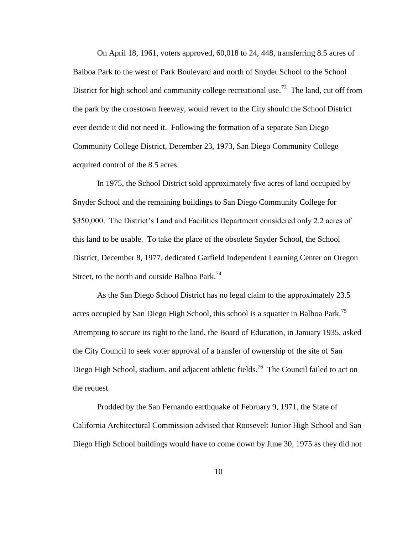On April 18, 1961, voters approved, 60,018 to 24, 448, transferring 8.5 acres of Balboa Park to the west of Park Boulevard and north of Snyder School to the School District for high school and community college recreational use.<sup>73</sup> The land, cut off from the park by the crosstown freeway, would revert to the City should the School District ever decide it did not need it. Following the formation of a separate San Diego Community College District, December 23, 1973, San Diego Community College acquired control of the 8.5 acres.

In 1975, the School District sold approximately five acres of land occupied by Snyder School and the remaining buildings to San Diego Community College for \$350,000. The District's Land and Facilities Department considered only 2.2 acres of this land to be usable. To take the place of the obsolete Snyder School, the School District, December 8, 1977, dedicated Garfield Independent Learning Center on Oregon Street, to the north and outside Balboa Park.<sup>74</sup>

As the San Diego School District has no legal claim to the approximately 23.5 acres occupied by San Diego High School, this school is a squatter in Balboa Park.<sup>75</sup> Attempting to secure its right to the land, the Board of Education, in January 1935, asked the City Council to seek voter approval of a transfer of ownership of the site of San Diego High School, stadium, and adjacent athletic fields.<sup>76</sup> The Council failed to act on the request.

Prodded by the San Fernando earthquake of February 9, 1971, the State of California Architectural Commission advised that Roosevelt Junior High School and San Diego High School buildings would have to come down by June 30, 1975 as they did not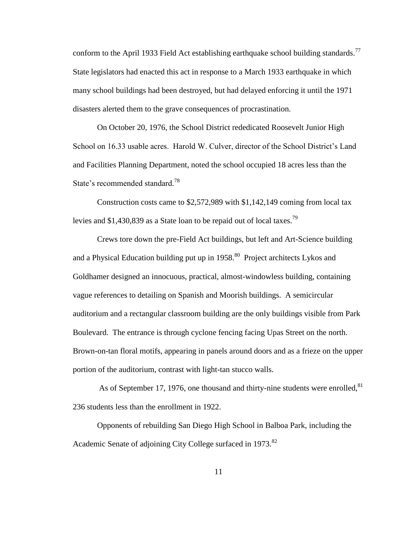conform to the April 1933 Field Act establishing earthquake school building standards.<sup>77</sup> State legislators had enacted this act in response to a March 1933 earthquake in which many school buildings had been destroyed, but had delayed enforcing it until the 1971 disasters alerted them to the grave consequences of procrastination.

On October 20, 1976, the School District rededicated Roosevelt Junior High School on 16.33 usable acres. Harold W. Culver, director of the School District's Land and Facilities Planning Department, noted the school occupied 18 acres less than the State's recommended standard.<sup>78</sup>

Construction costs came to \$2,572,989 with \$1,142,149 coming from local tax levies and \$1,430,839 as a State loan to be repaid out of local taxes.<sup>79</sup>

Crews tore down the pre-Field Act buildings, but left and Art-Science building and a Physical Education building put up in  $1958$ .<sup>80</sup> Project architects Lykos and Goldhamer designed an innocuous, practical, almost-windowless building, containing vague references to detailing on Spanish and Moorish buildings. A semicircular auditorium and a rectangular classroom building are the only buildings visible from Park Boulevard. The entrance is through cyclone fencing facing Upas Street on the north. Brown-on-tan floral motifs, appearing in panels around doors and as a frieze on the upper portion of the auditorium, contrast with light-tan stucco walls.

As of September 17, 1976, one thousand and thirty-nine students were enrolled,  $81$ 236 students less than the enrollment in 1922.

Opponents of rebuilding San Diego High School in Balboa Park, including the Academic Senate of adjoining City College surfaced in 1973.<sup>82</sup>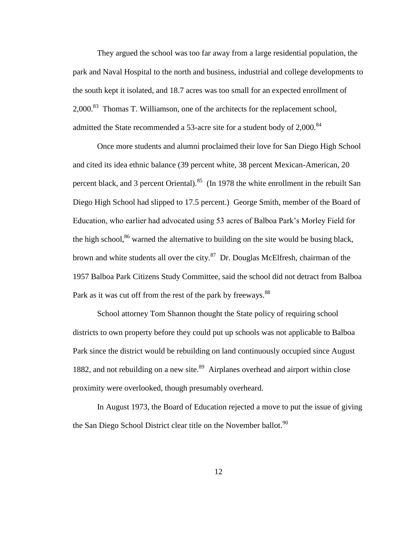They argued the school was too far away from a large residential population, the park and Naval Hospital to the north and business, industrial and college developments to the south kept it isolated, and 18.7 acres was too small for an expected enrollment of 2,000.<sup>83</sup> Thomas T. Williamson, one of the architects for the replacement school, admitted the State recommended a 53-acre site for a student body of  $2,000$ .<sup>84</sup>

Once more students and alumni proclaimed their love for San Diego High School and cited its idea ethnic balance (39 percent white, 38 percent Mexican-American, 20 percent black, and 3 percent Oriental).<sup>85</sup> (In 1978 the white enrollment in the rebuilt San Diego High School had slipped to 17.5 percent.) George Smith, member of the Board of Education, who earlier had advocated using 53 acres of Balboa Park's Morley Field for the high school, $86$  warned the alternative to building on the site would be busing black, brown and white students all over the city. $^{87}$  Dr. Douglas McElfresh, chairman of the 1957 Balboa Park Citizens Study Committee, said the school did not detract from Balboa Park as it was cut off from the rest of the park by freeways.<sup>88</sup>

School attorney Tom Shannon thought the State policy of requiring school districts to own property before they could put up schools was not applicable to Balboa Park since the district would be rebuilding on land continuously occupied since August 1882, and not rebuilding on a new site.<sup>89</sup> Airplanes overhead and airport within close proximity were overlooked, though presumably overheard.

In August 1973, the Board of Education rejected a move to put the issue of giving the San Diego School District clear title on the November ballot.<sup>90</sup>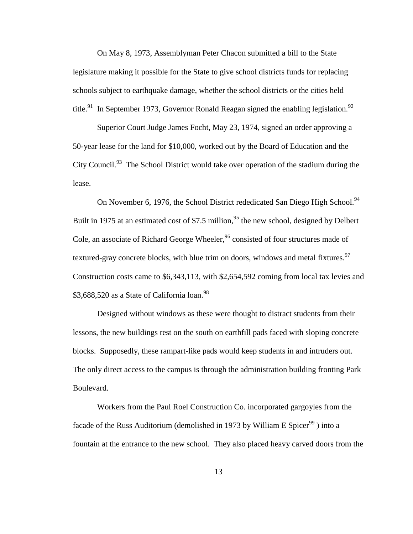On May 8, 1973, Assemblyman Peter Chacon submitted a bill to the State legislature making it possible for the State to give school districts funds for replacing schools subject to earthquake damage, whether the school districts or the cities held title.<sup>91</sup> In September 1973, Governor Ronald Reagan signed the enabling legislation.<sup>92</sup>

Superior Court Judge James Focht, May 23, 1974, signed an order approving a 50-year lease for the land for \$10,000, worked out by the Board of Education and the City Council.<sup>93</sup> The School District would take over operation of the stadium during the lease.

On November 6, 1976, the School District rededicated San Diego High School.<sup>94</sup> Built in 1975 at an estimated cost of \$7.5 million,  $95$  the new school, designed by Delbert Cole, an associate of Richard George Wheeler, <sup>96</sup> consisted of four structures made of textured-gray concrete blocks, with blue trim on doors, windows and metal fixtures.<sup>97</sup> Construction costs came to \$6,343,113, with \$2,654,592 coming from local tax levies and \$3,688,520 as a State of California loan.  $98$ 

Designed without windows as these were thought to distract students from their lessons, the new buildings rest on the south on earthfill pads faced with sloping concrete blocks. Supposedly, these rampart-like pads would keep students in and intruders out. The only direct access to the campus is through the administration building fronting Park Boulevard.

Workers from the Paul Roel Construction Co. incorporated gargoyles from the facade of the Russ Auditorium (demolished in 1973 by William E Spicer<sup>99</sup>) into a fountain at the entrance to the new school. They also placed heavy carved doors from the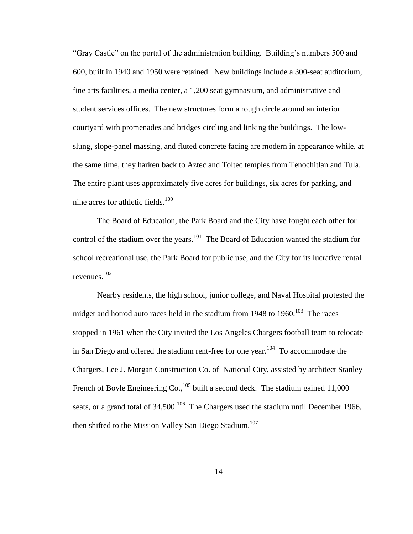"Gray Castle" on the portal of the administration building. Building's numbers 500 and 600, built in 1940 and 1950 were retained. New buildings include a 300-seat auditorium, fine arts facilities, a media center, a 1,200 seat gymnasium, and administrative and student services offices. The new structures form a rough circle around an interior courtyard with promenades and bridges circling and linking the buildings. The lowslung, slope-panel massing, and fluted concrete facing are modern in appearance while, at the same time, they harken back to Aztec and Toltec temples from Tenochitlan and Tula. The entire plant uses approximately five acres for buildings, six acres for parking, and nine acres for athletic fields. $100$ 

The Board of Education, the Park Board and the City have fought each other for control of the stadium over the years.<sup>101</sup> The Board of Education wanted the stadium for school recreational use, the Park Board for public use, and the City for its lucrative rental revenues. 102

Nearby residents, the high school, junior college, and Naval Hospital protested the midget and hotrod auto races held in the stadium from  $1948$  to  $1960$ .<sup>103</sup> The races stopped in 1961 when the City invited the Los Angeles Chargers football team to relocate in San Diego and offered the stadium rent-free for one year.<sup>104</sup> To accommodate the Chargers, Lee J. Morgan Construction Co. of National City, assisted by architect Stanley French of Boyle Engineering Co.,  $^{105}$  built a second deck. The stadium gained 11,000 seats, or a grand total of  $34,500$ .<sup>106</sup> The Chargers used the stadium until December 1966, then shifted to the Mission Valley San Diego Stadium.<sup>107</sup>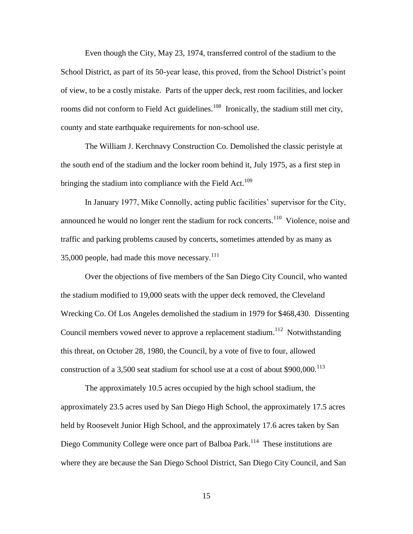Even though the City, May 23, 1974, transferred control of the stadium to the School District, as part of its 50-year lease, this proved, from the School District's point of view, to be a costly mistake. Parts of the upper deck, rest room facilities, and locker rooms did not conform to Field Act guidelines.<sup>108</sup> Ironically, the stadium still met city, county and state earthquake requirements for non-school use.

The William J. Kerchnavy Construction Co. Demolished the classic peristyle at the south end of the stadium and the locker room behind it, July 1975, as a first step in bringing the stadium into compliance with the Field Act.<sup>109</sup>

In January 1977, Mike Connolly, acting public facilities' supervisor for the City, announced he would no longer rent the stadium for rock concerts.<sup>110</sup> Violence, noise and traffic and parking problems caused by concerts, sometimes attended by as many as  $35,000$  people, had made this move necessary.<sup>111</sup>

Over the objections of five members of the San Diego City Council, who wanted the stadium modified to 19,000 seats with the upper deck removed, the Cleveland Wrecking Co. Of Los Angeles demolished the stadium in 1979 for \$468,430. Dissenting Council members vowed never to approve a replacement stadium.<sup>112</sup> Notwithstanding this threat, on October 28, 1980, the Council, by a vote of five to four, allowed construction of a 3,500 seat stadium for school use at a cost of about \$900,000.<sup>113</sup>

The approximately 10.5 acres occupied by the high school stadium, the approximately 23.5 acres used by San Diego High School, the approximately 17.5 acres held by Roosevelt Junior High School, and the approximately 17.6 acres taken by San Diego Community College were once part of Balboa Park.<sup>114</sup> These institutions are where they are because the San Diego School District, San Diego City Council, and San

15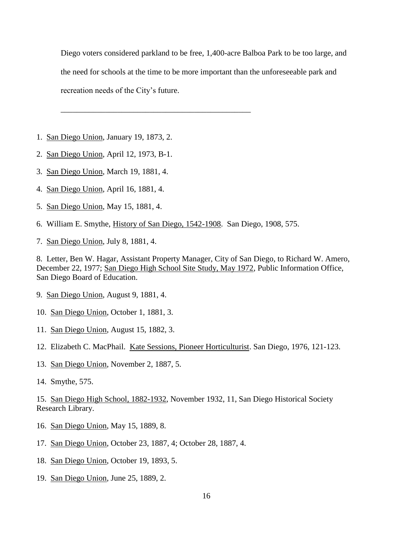Diego voters considered parkland to be free, 1,400-acre Balboa Park to be too large, and the need for schools at the time to be more important than the unforeseeable park and recreation needs of the City's future.

- 1. San Diego Union, January 19, 1873, 2.
- 2. San Diego Union, April 12, 1973, B-1.
- 3. San Diego Union, March 19, 1881, 4.
- 4. San Diego Union, April 16, 1881, 4.
- 5. San Diego Union, May 15, 1881, 4.
- 6. William E. Smythe, History of San Diego, 1542-1908. San Diego, 1908, 575.

\_\_\_\_\_\_\_\_\_\_\_\_\_\_\_\_\_\_\_\_\_\_\_\_\_\_\_\_\_\_\_\_\_\_\_\_\_\_\_\_\_\_\_\_\_\_\_

7. San Diego Union, July 8, 1881, 4.

8. Letter, Ben W. Hagar, Assistant Property Manager, City of San Diego, to Richard W. Amero, December 22, 1977; San Diego High School Site Study, May 1972, Public Information Office, San Diego Board of Education.

- 9. San Diego Union, August 9, 1881, 4.
- 10. San Diego Union, October 1, 1881, 3.
- 11. San Diego Union, August 15, 1882, 3.
- 12. Elizabeth C. MacPhail. Kate Sessions, Pioneer Horticulturist. San Diego, 1976, 121-123.
- 13. San Diego Union, November 2, 1887, 5.
- 14. Smythe, 575.

15. San Diego High School, 1882-1932, November 1932, 11, San Diego Historical Society Research Library.

- 16. San Diego Union, May 15, 1889, 8.
- 17. San Diego Union, October 23, 1887, 4; October 28, 1887, 4.
- 18. San Diego Union, October 19, 1893, 5.
- 19. San Diego Union, June 25, 1889, 2.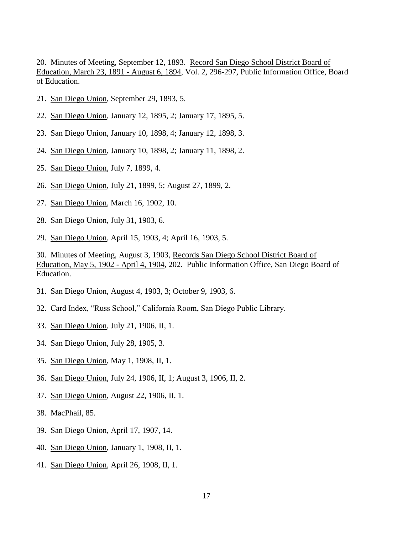20. Minutes of Meeting, September 12, 1893. Record San Diego School District Board of Education, March 23, 1891 - August 6, 1894, Vol. 2, 296-297, Public Information Office, Board of Education.

- 21. San Diego Union, September 29, 1893, 5.
- 22. San Diego Union, January 12, 1895, 2; January 17, 1895, 5.
- 23. San Diego Union, January 10, 1898, 4; January 12, 1898, 3.
- 24. San Diego Union, January 10, 1898, 2; January 11, 1898, 2.
- 25. San Diego Union, July 7, 1899, 4.
- 26. San Diego Union, July 21, 1899, 5; August 27, 1899, 2.
- 27. San Diego Union, March 16, 1902, 10.
- 28. San Diego Union, July 31, 1903, 6.
- 29. San Diego Union, April 15, 1903, 4; April 16, 1903, 5.

30. Minutes of Meeting, August 3, 1903, Records San Diego School District Board of Education, May 5, 1902 - April 4, 1904, 202. Public Information Office, San Diego Board of Education.

- 31. San Diego Union, August 4, 1903, 3; October 9, 1903, 6.
- 32. Card Index, "Russ School," California Room, San Diego Public Library.
- 33. San Diego Union, July 21, 1906, II, 1.
- 34. San Diego Union, July 28, 1905, 3.
- 35. San Diego Union, May 1, 1908, II, 1.
- 36. San Diego Union, July 24, 1906, II, 1; August 3, 1906, II, 2.
- 37. San Diego Union, August 22, 1906, II, 1.
- 38. MacPhail, 85.
- 39. San Diego Union, April 17, 1907, 14.
- 40. San Diego Union, January 1, 1908, II, 1.
- 41. San Diego Union, April 26, 1908, II, 1.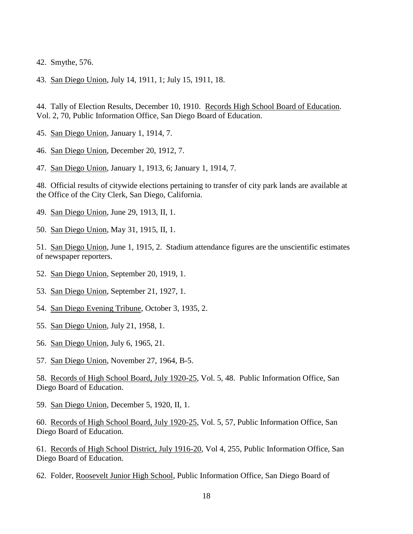42. Smythe, 576.

43. San Diego Union, July 14, 1911, 1; July 15, 1911, 18.

44. Tally of Election Results, December 10, 1910. Records High School Board of Education. Vol. 2, 70, Public Information Office, San Diego Board of Education.

- 45. San Diego Union, January 1, 1914, 7.
- 46. San Diego Union, December 20, 1912, 7.
- 47. San Diego Union, January 1, 1913, 6; January 1, 1914, 7.

48. Official results of citywide elections pertaining to transfer of city park lands are available at the Office of the City Clerk, San Diego, California.

- 49. San Diego Union, June 29, 1913, II, 1.
- 50. San Diego Union, May 31, 1915, II, 1.

51. San Diego Union, June 1, 1915, 2. Stadium attendance figures are the unscientific estimates of newspaper reporters.

- 52. San Diego Union, September 20, 1919, 1.
- 53. San Diego Union, September 21, 1927, 1.
- 54. San Diego Evening Tribune, October 3, 1935, 2.
- 55. San Diego Union, July 21, 1958, 1.
- 56. San Diego Union, July 6, 1965, 21.
- 57. San Diego Union, November 27, 1964, B-5.

58. Records of High School Board, July 1920-25, Vol. 5, 48. Public Information Office, San Diego Board of Education.

59. San Diego Union, December 5, 1920, II, 1.

60. Records of High School Board, July 1920-25, Vol. 5, 57, Public Information Office, San Diego Board of Education.

61. Records of High School District, July 1916-20, Vol 4, 255, Public Information Office, San Diego Board of Education.

62. Folder, Roosevelt Junior High School, Public Information Office, San Diego Board of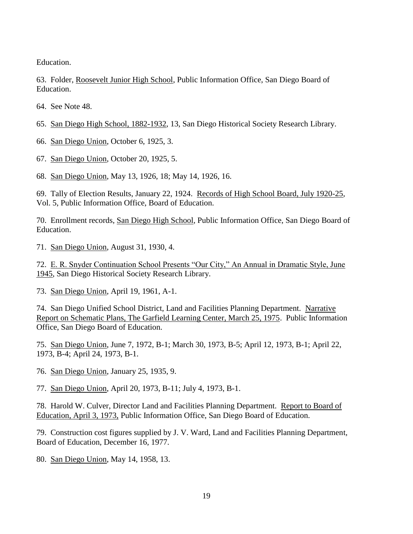Education.

63. Folder, Roosevelt Junior High School, Public Information Office, San Diego Board of Education.

64. See Note 48.

- 65. San Diego High School, 1882-1932, 13, San Diego Historical Society Research Library.
- 66. San Diego Union, October 6, 1925, 3.
- 67. San Diego Union, October 20, 1925, 5.
- 68. San Diego Union, May 13, 1926, 18; May 14, 1926, 16.

69. Tally of Election Results, January 22, 1924. Records of High School Board, July 1920-25, Vol. 5, Public Information Office, Board of Education.

70. Enrollment records, San Diego High School, Public Information Office, San Diego Board of Education.

71. San Diego Union, August 31, 1930, 4.

72. E. R. Snyder Continuation School Presents "Our City," An Annual in Dramatic Style, June 1945, San Diego Historical Society Research Library.

73. San Diego Union, April 19, 1961, A-1.

74. San Diego Unified School District, Land and Facilities Planning Department. Narrative Report on Schematic Plans, The Garfield Learning Center, March 25, 1975. Public Information Office, San Diego Board of Education.

75. San Diego Union, June 7, 1972, B-1; March 30, 1973, B-5; April 12, 1973, B-1; April 22, 1973, B-4; April 24, 1973, B-1.

76. San Diego Union, January 25, 1935, 9.

77. San Diego Union, April 20, 1973, B-11; July 4, 1973, B-1.

78. Harold W. Culver, Director Land and Facilities Planning Department. Report to Board of Education, April 3, 1973, Public Information Office, San Diego Board of Education.

79. Construction cost figures supplied by J. V. Ward, Land and Facilities Planning Department, Board of Education, December 16, 1977.

80. San Diego Union, May 14, 1958, 13.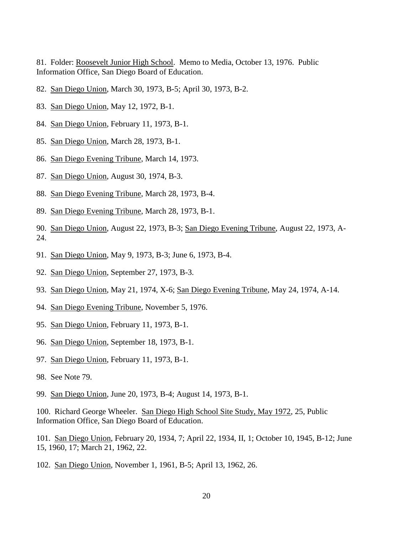81. Folder: Roosevelt Junior High School. Memo to Media, October 13, 1976. Public Information Office, San Diego Board of Education.

- 82. San Diego Union, March 30, 1973, B-5; April 30, 1973, B-2.
- 83. San Diego Union, May 12, 1972, B-1.
- 84. San Diego Union, February 11, 1973, B-1.
- 85. San Diego Union, March 28, 1973, B-1.
- 86. San Diego Evening Tribune, March 14, 1973.
- 87. San Diego Union, August 30, 1974, B-3.
- 88. San Diego Evening Tribune, March 28, 1973, B-4.
- 89. San Diego Evening Tribune, March 28, 1973, B-1.
- 90. San Diego Union, August 22, 1973, B-3; San Diego Evening Tribune, August 22, 1973, A-24.
- 91. San Diego Union, May 9, 1973, B-3; June 6, 1973, B-4.
- 92. San Diego Union, September 27, 1973, B-3.
- 93. San Diego Union, May 21, 1974, X-6; San Diego Evening Tribune, May 24, 1974, A-14.
- 94. San Diego Evening Tribune, November 5, 1976.
- 95. San Diego Union, February 11, 1973, B-1.
- 96. San Diego Union, September 18, 1973, B-1.
- 97. San Diego Union, February 11, 1973, B-1.
- 98. See Note 79.
- 99. San Diego Union, June 20, 1973, B-4; August 14, 1973, B-1.

100. Richard George Wheeler. San Diego High School Site Study, May 1972, 25, Public Information Office, San Diego Board of Education.

101. San Diego Union, February 20, 1934, 7; April 22, 1934, II, 1; October 10, 1945, B-12; June 15, 1960, 17; March 21, 1962, 22.

102. San Diego Union, November 1, 1961, B-5; April 13, 1962, 26.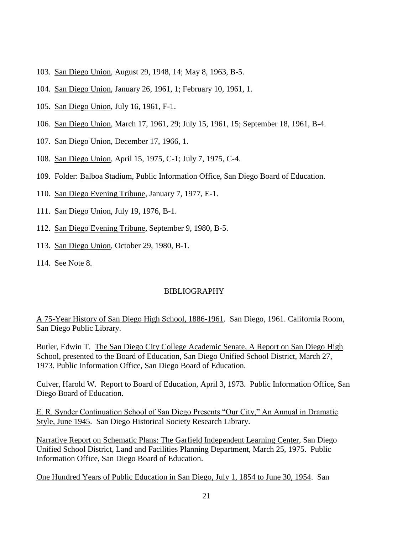- 103. San Diego Union, August 29, 1948, 14; May 8, 1963, B-5.
- 104. San Diego Union, January 26, 1961, 1; February 10, 1961, 1.
- 105. San Diego Union, July 16, 1961, F-1.
- 106. San Diego Union, March 17, 1961, 29; July 15, 1961, 15; September 18, 1961, B-4.
- 107. San Diego Union, December 17, 1966, 1.
- 108. San Diego Union, April 15, 1975, C-1; July 7, 1975, C-4.
- 109. Folder: Balboa Stadium, Public Information Office, San Diego Board of Education.
- 110. San Diego Evening Tribune, January 7, 1977, E-1.
- 111. San Diego Union, July 19, 1976, B-1.
- 112. San Diego Evening Tribune, September 9, 1980, B-5.
- 113. San Diego Union, October 29, 1980, B-1.
- 114. See Note 8.

## BIBLIOGRAPHY

A 75-Year History of San Diego High School, 1886-1961. San Diego, 1961. California Room, San Diego Public Library.

Butler, Edwin T. The San Diego City College Academic Senate, A Report on San Diego High School, presented to the Board of Education, San Diego Unified School District, March 27, 1973. Public Information Office, San Diego Board of Education.

Culver, Harold W. Report to Board of Education, April 3, 1973. Public Information Office, San Diego Board of Education.

E. R. Synder Continuation School of San Diego Presents "Our City," An Annual in Dramatic Style, June 1945. San Diego Historical Society Research Library.

Narrative Report on Schematic Plans: The Garfield Independent Learning Center, San Diego Unified School District, Land and Facilities Planning Department, March 25, 1975. Public Information Office, San Diego Board of Education.

One Hundred Years of Public Education in San Diego, July 1, 1854 to June 30, 1954. San